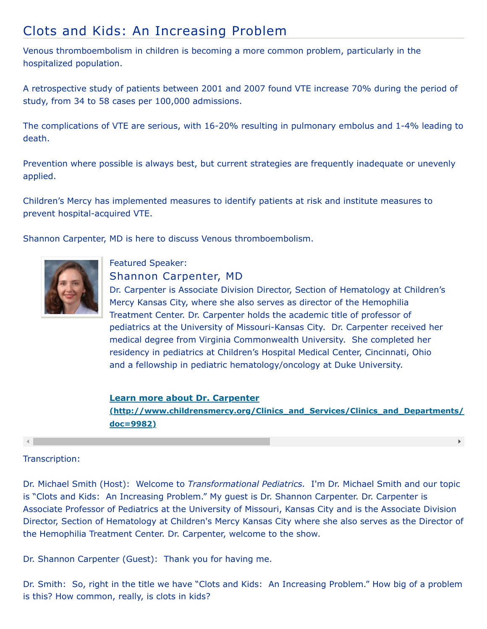## Clots and Kids: An Increasing Problem

Venous thromboembolism in children is becoming a more common problem, particularly in the hospitalized population.

A retrospective study of patients between 2001 and 2007 found VTE increase 70% during the period of study, from 34 to 58 cases per 100,000 admissions.

The complications of VTE are serious, with 16-20% resulting in pulmonary embolus and 1-4% leading to death.

Prevention where possible is always best, but current strategies are frequently inadequate or unevenly applied.

Children's Mercy has implemented measures to identify patients at risk and institute measures to prevent hospital-acquired VTE.

Shannon Carpenter, MD is here to discuss Venous thromboembolism.



## Featured Speaker: Shannon Carpenter, MD

Dr. Carpenter is Associate Division Director, Section of Hematology at Children's Mercy Kansas City, where she also serves as director of the Hemophilia Treatment Center. Dr. Carpenter holds the academic title of professor of pediatrics at the University of Missouri-Kansas City. Dr. Carpenter received her medical degree from Virginia Commonwealth University. She completed her residency in pediatrics at Children's Hospital Medical Center, Cincinnati, Ohio and a fellowship in pediatric hematology/oncology at Duke University.

**Learn more about Dr. Carpenter [\(http://www.childrensmercy.org/Clinics\\_and\\_Services/Clinics\\_and\\_Departments/](http://www.childrensmercy.org/Clinics_and_Services/Clinics_and_Departments/Hematology_Oncology_and_Bone_Marrow_Transplantation/Faculty_and_Staff/?doc=9982) doc=9982)**

 $\mathbf{F}$ 

## Transcription:

Dr. Michael Smith (Host): Welcome to *Transformational Pediatrics.* I'm Dr. Michael Smith and our topic is "Clots and Kids: An Increasing Problem." My guest is Dr. Shannon Carpenter. Dr. Carpenter is Associate Professor of Pediatrics at the University of Missouri, Kansas City and is the Associate Division Director, Section of Hematology at Children's Mercy Kansas City where she also serves as the Director of the Hemophilia Treatment Center. Dr. Carpenter, welcome to the show.

Dr. Shannon Carpenter (Guest): Thank you for having me.

Dr. Smith: So, right in the title we have "Clots and Kids: An Increasing Problem." How big of a problem is this? How common, really, is clots in kids?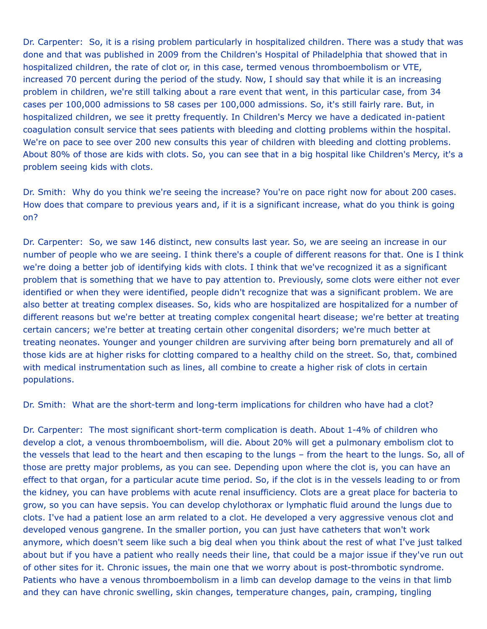Dr. Carpenter: So, it is a rising problem particularly in hospitalized children. There was a study that was done and that was published in 2009 from the Children's Hospital of Philadelphia that showed that in hospitalized children, the rate of clot or, in this case, termed venous thromboembolism or VTE, increased 70 percent during the period of the study. Now, I should say that while it is an increasing problem in children, we're still talking about a rare event that went, in this particular case, from 34 cases per 100,000 admissions to 58 cases per 100,000 admissions. So, it's still fairly rare. But, in hospitalized children, we see it pretty frequently. In Children's Mercy we have a dedicated in-patient coagulation consult service that sees patients with bleeding and clotting problems within the hospital. We're on pace to see over 200 new consults this year of children with bleeding and clotting problems. About 80% of those are kids with clots. So, you can see that in a big hospital like Children's Mercy, it's a problem seeing kids with clots.

Dr. Smith: Why do you think we're seeing the increase? You're on pace right now for about 200 cases. How does that compare to previous years and, if it is a significant increase, what do you think is going on?

Dr. Carpenter: So, we saw 146 distinct, new consults last year. So, we are seeing an increase in our number of people who we are seeing. I think there's a couple of different reasons for that. One is I think we're doing a better job of identifying kids with clots. I think that we've recognized it as a significant problem that is something that we have to pay attention to. Previously, some clots were either not ever identified or when they were identified, people didn't recognize that was a significant problem. We are also better at treating complex diseases. So, kids who are hospitalized are hospitalized for a number of different reasons but we're better at treating complex congenital heart disease; we're better at treating certain cancers; we're better at treating certain other congenital disorders; we're much better at treating neonates. Younger and younger children are surviving after being born prematurely and all of those kids are at higher risks for clotting compared to a healthy child on the street. So, that, combined with medical instrumentation such as lines, all combine to create a higher risk of clots in certain populations.

Dr. Smith: What are the short-term and long-term implications for children who have had a clot?

Dr. Carpenter: The most significant short-term complication is death. About 1-4% of children who develop a clot, a venous thromboembolism, will die. About 20% will get a pulmonary embolism clot to the vessels that lead to the heart and then escaping to the lungs – from the heart to the lungs. So, all of those are pretty major problems, as you can see. Depending upon where the clot is, you can have an effect to that organ, for a particular acute time period. So, if the clot is in the vessels leading to or from the kidney, you can have problems with acute renal insufficiency. Clots are a great place for bacteria to grow, so you can have sepsis. You can develop chylothorax or lymphatic fluid around the lungs due to clots. I've had a patient lose an arm related to a clot. He developed a very aggressive venous clot and developed venous gangrene. In the smaller portion, you can just have catheters that won't work anymore, which doesn't seem like such a big deal when you think about the rest of what I've just talked about but if you have a patient who really needs their line, that could be a major issue if they've run out of other sites for it. Chronic issues, the main one that we worry about is post-thrombotic syndrome. Patients who have a venous thromboembolism in a limb can develop damage to the veins in that limb and they can have chronic swelling, skin changes, temperature changes, pain, cramping, tingling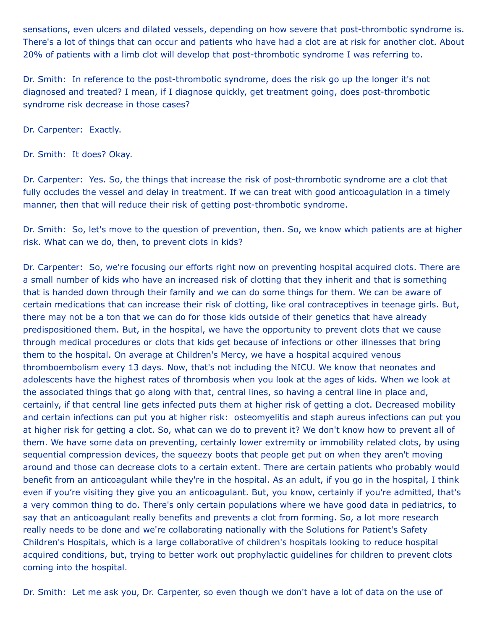sensations, even ulcers and dilated vessels, depending on how severe that post-thrombotic syndrome is. There's a lot of things that can occur and patients who have had a clot are at risk for another clot. About 20% of patients with a limb clot will develop that post-thrombotic syndrome I was referring to.

Dr. Smith: In reference to the post-thrombotic syndrome, does the risk go up the longer it's not diagnosed and treated? I mean, if I diagnose quickly, get treatment going, does post-thrombotic syndrome risk decrease in those cases?

Dr. Carpenter: Exactly.

Dr. Smith: It does? Okay.

Dr. Carpenter: Yes. So, the things that increase the risk of post-thrombotic syndrome are a clot that fully occludes the vessel and delay in treatment. If we can treat with good anticoagulation in a timely manner, then that will reduce their risk of getting post-thrombotic syndrome.

Dr. Smith: So, let's move to the question of prevention, then. So, we know which patients are at higher risk. What can we do, then, to prevent clots in kids?

Dr. Carpenter: So, we're focusing our efforts right now on preventing hospital acquired clots. There are a small number of kids who have an increased risk of clotting that they inherit and that is something that is handed down through their family and we can do some things for them. We can be aware of certain medications that can increase their risk of clotting, like oral contraceptives in teenage girls. But, there may not be a ton that we can do for those kids outside of their genetics that have already predispositioned them. But, in the hospital, we have the opportunity to prevent clots that we cause through medical procedures or clots that kids get because of infections or other illnesses that bring them to the hospital. On average at Children's Mercy, we have a hospital acquired venous thromboembolism every 13 days. Now, that's not including the NICU. We know that neonates and adolescents have the highest rates of thrombosis when you look at the ages of kids. When we look at the associated things that go along with that, central lines, so having a central line in place and, certainly, if that central line gets infected puts them at higher risk of getting a clot. Decreased mobility and certain infections can put you at higher risk: osteomyelitis and staph aureus infections can put you at higher risk for getting a clot. So, what can we do to prevent it? We don't know how to prevent all of them. We have some data on preventing, certainly lower extremity or immobility related clots, by using sequential compression devices, the squeezy boots that people get put on when they aren't moving around and those can decrease clots to a certain extent. There are certain patients who probably would benefit from an anticoagulant while they're in the hospital. As an adult, if you go in the hospital, I think even if you're visiting they give you an anticoagulant. But, you know, certainly if you're admitted, that's a very common thing to do. There's only certain populations where we have good data in pediatrics, to say that an anticoagulant really benefits and prevents a clot from forming. So, a lot more research really needs to be done and we're collaborating nationally with the Solutions for Patient's Safety Children's Hospitals, which is a large collaborative of children's hospitals looking to reduce hospital acquired conditions, but, trying to better work out prophylactic guidelines for children to prevent clots coming into the hospital.

Dr. Smith: Let me ask you, Dr. Carpenter, so even though we don't have a lot of data on the use of